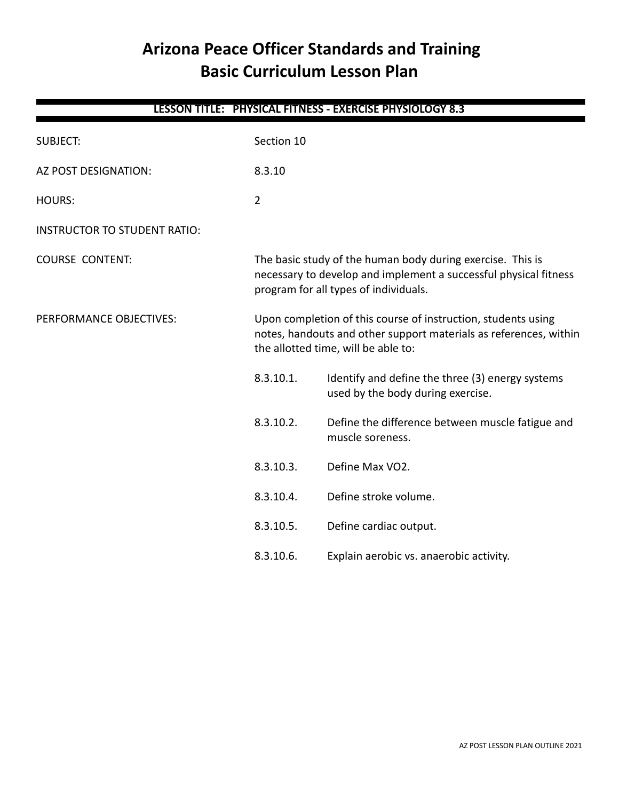# **Arizona Peace Officer Standards and Training Basic Curriculum Lesson Plan**

| <b>LESSON TITLE: PHYSICAL FITNESS - EXERCISE PHYSIOLOGY 8.3</b> |                                                                                                                                                                         |                                                                                                                                                                           |  |
|-----------------------------------------------------------------|-------------------------------------------------------------------------------------------------------------------------------------------------------------------------|---------------------------------------------------------------------------------------------------------------------------------------------------------------------------|--|
| <b>SUBJECT:</b>                                                 | Section 10                                                                                                                                                              |                                                                                                                                                                           |  |
| AZ POST DESIGNATION:                                            | 8.3.10                                                                                                                                                                  |                                                                                                                                                                           |  |
| <b>HOURS:</b>                                                   | $\overline{2}$                                                                                                                                                          |                                                                                                                                                                           |  |
| <b>INSTRUCTOR TO STUDENT RATIO:</b>                             |                                                                                                                                                                         |                                                                                                                                                                           |  |
| <b>COURSE CONTENT:</b>                                          | The basic study of the human body during exercise. This is<br>necessary to develop and implement a successful physical fitness<br>program for all types of individuals. |                                                                                                                                                                           |  |
| PERFORMANCE OBJECTIVES:                                         |                                                                                                                                                                         | Upon completion of this course of instruction, students using<br>notes, handouts and other support materials as references, within<br>the allotted time, will be able to: |  |
|                                                                 | 8.3.10.1.                                                                                                                                                               | Identify and define the three (3) energy systems<br>used by the body during exercise.                                                                                     |  |
|                                                                 | 8.3.10.2.                                                                                                                                                               | Define the difference between muscle fatigue and<br>muscle soreness.                                                                                                      |  |
|                                                                 | 8.3.10.3.                                                                                                                                                               | Define Max VO2.                                                                                                                                                           |  |
|                                                                 | 8.3.10.4.                                                                                                                                                               | Define stroke volume.                                                                                                                                                     |  |
|                                                                 | 8.3.10.5.                                                                                                                                                               | Define cardiac output.                                                                                                                                                    |  |
|                                                                 | 8.3.10.6.                                                                                                                                                               | Explain aerobic vs. anaerobic activity.                                                                                                                                   |  |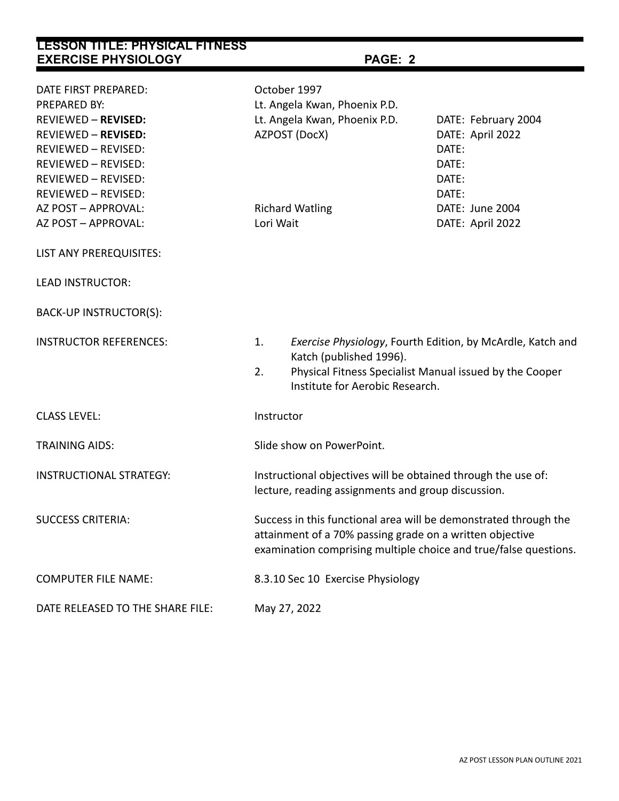| LESSON TITLE: PHYSICAL FITNESS<br><b>EXERCISE PHYSIOLOGY</b>                                                                                                                                                                                             | PAGE: 2                                                                                                                                                                                          |                                                                                                                       |  |  |
|----------------------------------------------------------------------------------------------------------------------------------------------------------------------------------------------------------------------------------------------------------|--------------------------------------------------------------------------------------------------------------------------------------------------------------------------------------------------|-----------------------------------------------------------------------------------------------------------------------|--|--|
| DATE FIRST PREPARED:<br>PREPARED BY:<br><b>REVIEWED - REVISED:</b><br><b>REVIEWED - REVISED:</b><br><b>REVIEWED - REVISED:</b><br><b>REVIEWED - REVISED:</b><br>REVIEWED - REVISED:<br>REVIEWED - REVISED:<br>AZ POST - APPROVAL:<br>AZ POST - APPROVAL: | October 1997<br>Lt. Angela Kwan, Phoenix P.D.<br>Lt. Angela Kwan, Phoenix P.D.<br>AZPOST (DocX)<br><b>Richard Watling</b><br>Lori Wait                                                           | DATE: February 2004<br>DATE: April 2022<br>DATE:<br>DATE:<br>DATE:<br>DATE:<br>DATE: June 2004<br>DATE: April 2022    |  |  |
| LIST ANY PREREQUISITES:                                                                                                                                                                                                                                  |                                                                                                                                                                                                  |                                                                                                                       |  |  |
| <b>LEAD INSTRUCTOR:</b>                                                                                                                                                                                                                                  |                                                                                                                                                                                                  |                                                                                                                       |  |  |
| BACK-UP INSTRUCTOR(S):                                                                                                                                                                                                                                   |                                                                                                                                                                                                  |                                                                                                                       |  |  |
| <b>INSTRUCTOR REFERENCES:</b>                                                                                                                                                                                                                            | 1.<br>Katch (published 1996).<br>2.<br>Institute for Aerobic Research.                                                                                                                           | Exercise Physiology, Fourth Edition, by McArdle, Katch and<br>Physical Fitness Specialist Manual issued by the Cooper |  |  |
| <b>CLASS LEVEL:</b>                                                                                                                                                                                                                                      | Instructor                                                                                                                                                                                       |                                                                                                                       |  |  |
| <b>TRAINING AIDS:</b>                                                                                                                                                                                                                                    | Slide show on PowerPoint.                                                                                                                                                                        |                                                                                                                       |  |  |
| <b>INSTRUCTIONAL STRATEGY:</b>                                                                                                                                                                                                                           | Instructional objectives will be obtained through the use of:<br>lecture, reading assignments and group discussion.                                                                              |                                                                                                                       |  |  |
| <b>SUCCESS CRITERIA:</b>                                                                                                                                                                                                                                 | Success in this functional area will be demonstrated through the<br>attainment of a 70% passing grade on a written objective<br>examination comprising multiple choice and true/false questions. |                                                                                                                       |  |  |
| <b>COMPUTER FILE NAME:</b>                                                                                                                                                                                                                               | 8.3.10 Sec 10 Exercise Physiology                                                                                                                                                                |                                                                                                                       |  |  |
| DATE RELEASED TO THE SHARE FILE:                                                                                                                                                                                                                         | May 27, 2022                                                                                                                                                                                     |                                                                                                                       |  |  |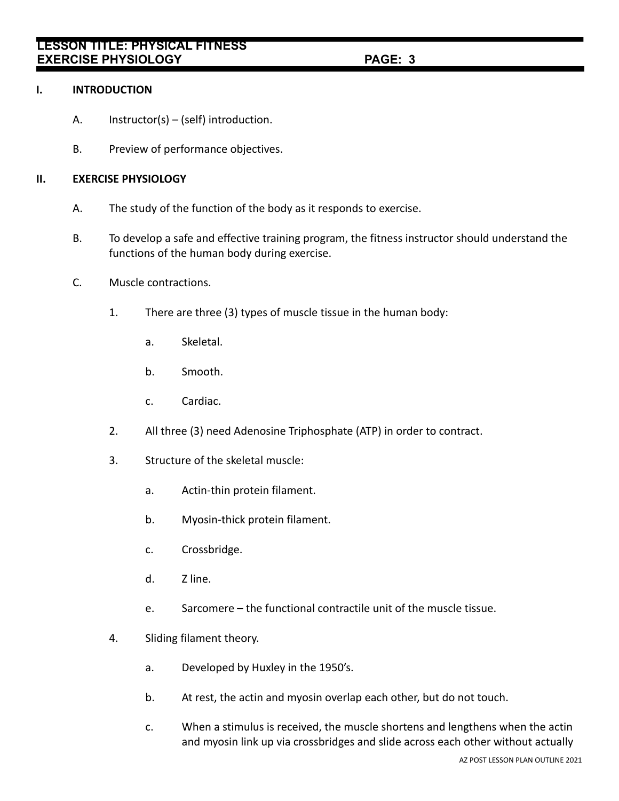### **I. INTRODUCTION**

- A. Instructor(s) (self) introduction.
- B. Preview of performance objectives.

### **II. EXERCISE PHYSIOLOGY**

- A. The study of the function of the body as it responds to exercise.
- B. To develop a safe and effective training program, the fitness instructor should understand the functions of the human body during exercise.
- C. Muscle contractions.
	- 1. There are three (3) types of muscle tissue in the human body:
		- a. Skeletal.
		- b. Smooth.
		- c. Cardiac.
	- 2. All three (3) need Adenosine Triphosphate (ATP) in order to contract.
	- 3. Structure of the skeletal muscle:
		- a. Actin-thin protein filament.
		- b. Myosin-thick protein filament.
		- c. Crossbridge.
		- d. Z line.
		- e. Sarcomere the functional contractile unit of the muscle tissue.
	- 4. Sliding filament theory.
		- a. Developed by Huxley in the 1950's.
		- b. At rest, the actin and myosin overlap each other, but do not touch.
		- c. When a stimulus is received, the muscle shortens and lengthens when the actin and myosin link up via crossbridges and slide across each other without actually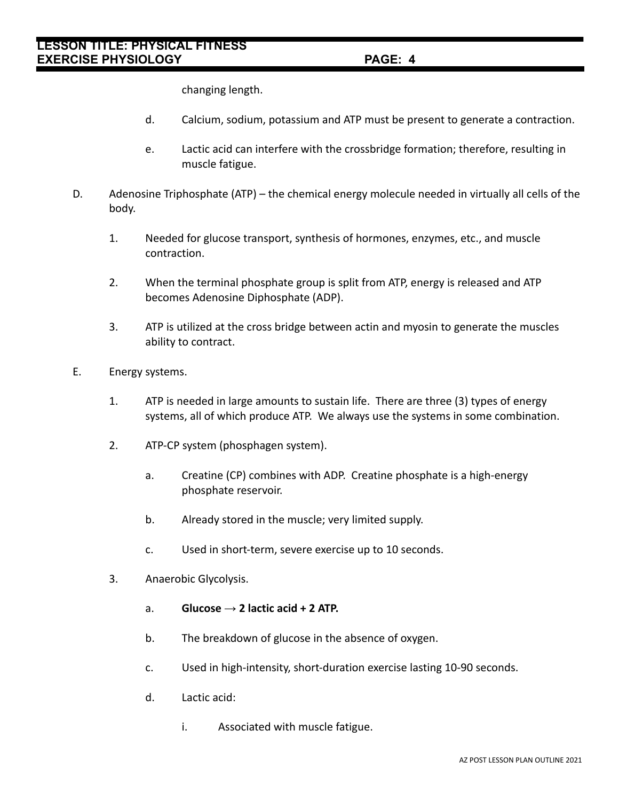changing length.

- d. Calcium, sodium, potassium and ATP must be present to generate a contraction.
- e. Lactic acid can interfere with the crossbridge formation; therefore, resulting in muscle fatigue.
- D. Adenosine Triphosphate (ATP) the chemical energy molecule needed in virtually all cells of the body.
	- 1. Needed for glucose transport, synthesis of hormones, enzymes, etc., and muscle contraction.
	- 2. When the terminal phosphate group is split from ATP, energy is released and ATP becomes Adenosine Diphosphate (ADP).
	- 3. ATP is utilized at the cross bridge between actin and myosin to generate the muscles ability to contract.
- E. Energy systems.
	- 1. ATP is needed in large amounts to sustain life. There are three (3) types of energy systems, all of which produce ATP. We always use the systems in some combination.
	- 2. ATP-CP system (phosphagen system).
		- a. Creatine (CP) combines with ADP. Creatine phosphate is a high-energy phosphate reservoir.
		- b. Already stored in the muscle; very limited supply.
		- c. Used in short-term, severe exercise up to 10 seconds.
	- 3. Anaerobic Glycolysis.
		- a. **Glucose**  $\rightarrow$  2 lactic acid + 2 ATP.
		- b. The breakdown of glucose in the absence of oxygen.
		- c. Used in high-intensity, short-duration exercise lasting 10-90 seconds.
		- d. Lactic acid:
			- i. Associated with muscle fatigue.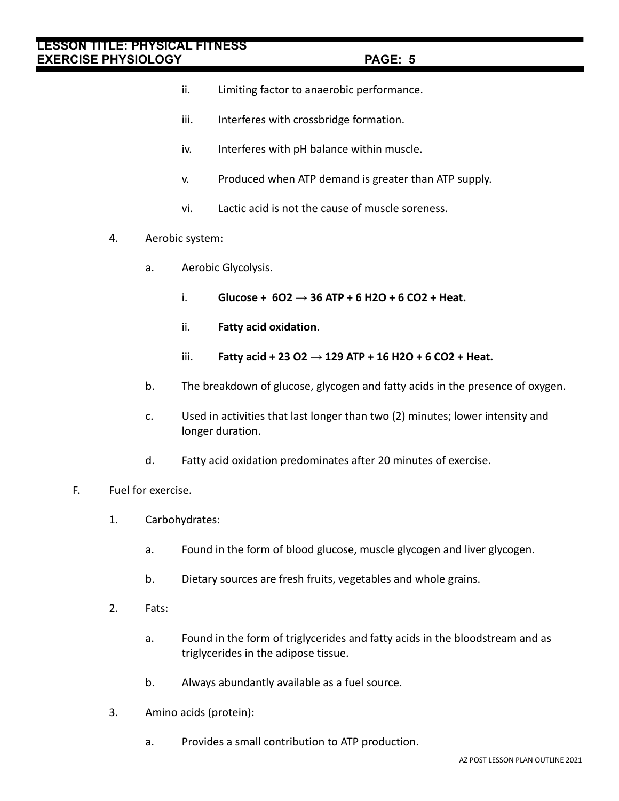- ii. Limiting factor to anaerobic performance.
- iii. Interferes with crossbridge formation.
- iv. Interferes with pH balance within muscle.
- v. Produced when ATP demand is greater than ATP supply.
- vi. Lactic acid is not the cause of muscle soreness.
- 4. Aerobic system:
	- a. Aerobic Glycolysis.
		- i. **Glucose + 6O2 → 36 ATP + 6 H2O + 6 CO2 + Heat.**
		- ii. **Fatty acid oxidation**.
		- iii. **Fatty acid + 23 O2 → 129 ATP + 16 H2O + 6 CO2 + Heat.**
	- b. The breakdown of glucose, glycogen and fatty acids in the presence of oxygen.
	- c. Used in activities that last longer than two (2) minutes; lower intensity and longer duration.
	- d. Fatty acid oxidation predominates after 20 minutes of exercise.
- F. Fuel for exercise.
	- 1. Carbohydrates:
		- a. Found in the form of blood glucose, muscle glycogen and liver glycogen.
		- b. Dietary sources are fresh fruits, vegetables and whole grains.
	- 2. Fats:
		- a. Found in the form of triglycerides and fatty acids in the bloodstream and as triglycerides in the adipose tissue.
		- b. Always abundantly available as a fuel source.
	- 3. Amino acids (protein):
		- a. Provides a small contribution to ATP production.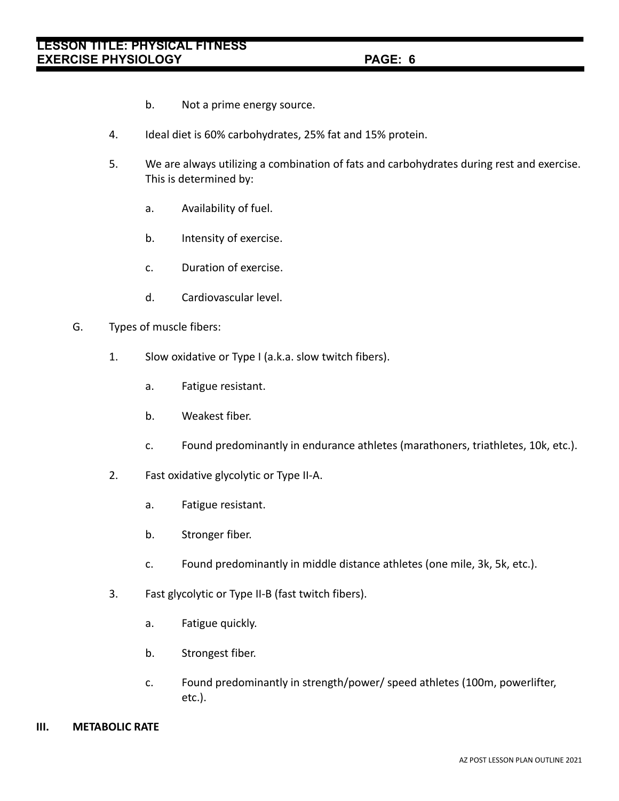- b. Not a prime energy source.
- 4. Ideal diet is 60% carbohydrates, 25% fat and 15% protein.
- 5. We are always utilizing a combination of fats and carbohydrates during rest and exercise. This is determined by:
	- a. Availability of fuel.
	- b. Intensity of exercise.
	- c. Duration of exercise.
	- d. Cardiovascular level.
- G. Types of muscle fibers:
	- 1. Slow oxidative or Type I (a.k.a. slow twitch fibers).
		- a. Fatigue resistant.
		- b. Weakest fiber.
		- c. Found predominantly in endurance athletes (marathoners, triathletes, 10k, etc.).
	- 2. Fast oxidative glycolytic or Type II-A.
		- a. Fatigue resistant.
		- b. Stronger fiber.
		- c. Found predominantly in middle distance athletes (one mile, 3k, 5k, etc.).
	- 3. Fast glycolytic or Type II-B (fast twitch fibers).
		- a. Fatigue quickly.
		- b. Strongest fiber.
		- c. Found predominantly in strength/power/ speed athletes (100m, powerlifter, etc.).

#### **III. METABOLIC RATE**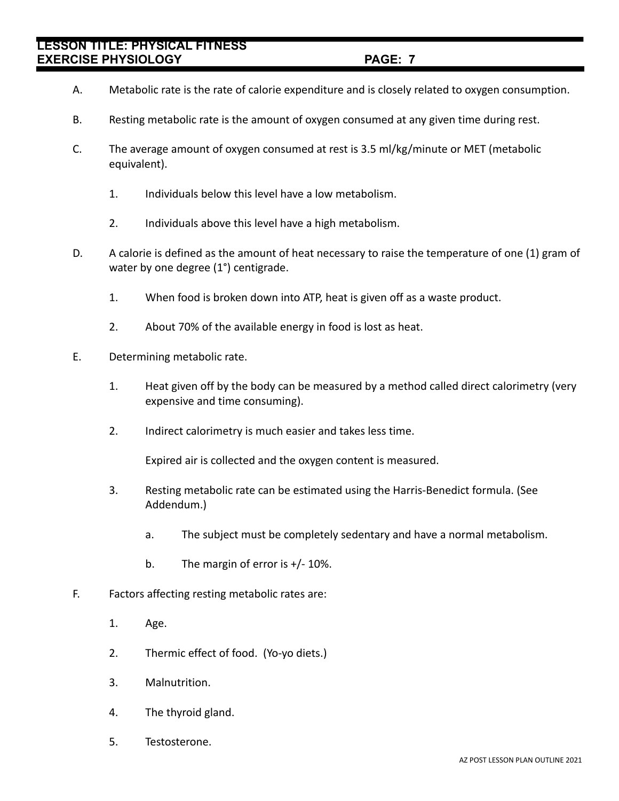# **LESSON TITLE: PHYSICAL FITNESS EXERCISE PHYSIOLOGY** 2020 2020 2021 21:20 20:20

- A. Metabolic rate is the rate of calorie expenditure and is closely related to oxygen consumption.
- B. Resting metabolic rate is the amount of oxygen consumed at any given time during rest.
- C. The average amount of oxygen consumed at rest is 3.5 ml/kg/minute or MET (metabolic equivalent).
	- 1. Individuals below this level have a low metabolism.
	- 2. Individuals above this level have a high metabolism.
- D. A calorie is defined as the amount of heat necessary to raise the temperature of one (1) gram of water by one degree (1°) centigrade.
	- 1. When food is broken down into ATP, heat is given off as a waste product.
	- 2. About 70% of the available energy in food is lost as heat.
- E. Determining metabolic rate.
	- 1. Heat given off by the body can be measured by a method called direct calorimetry (very expensive and time consuming).
	- 2. Indirect calorimetry is much easier and takes less time.

Expired air is collected and the oxygen content is measured.

- 3. Resting metabolic rate can be estimated using the Harris-Benedict formula. (See Addendum.)
	- a. The subject must be completely sedentary and have a normal metabolism.
	- b. The margin of error is +/- 10%.
- F. Factors affecting resting metabolic rates are:
	- 1. Age.
	- 2. Thermic effect of food. (Yo-yo diets.)
	- 3. Malnutrition.
	- 4. The thyroid gland.
	- 5. Testosterone.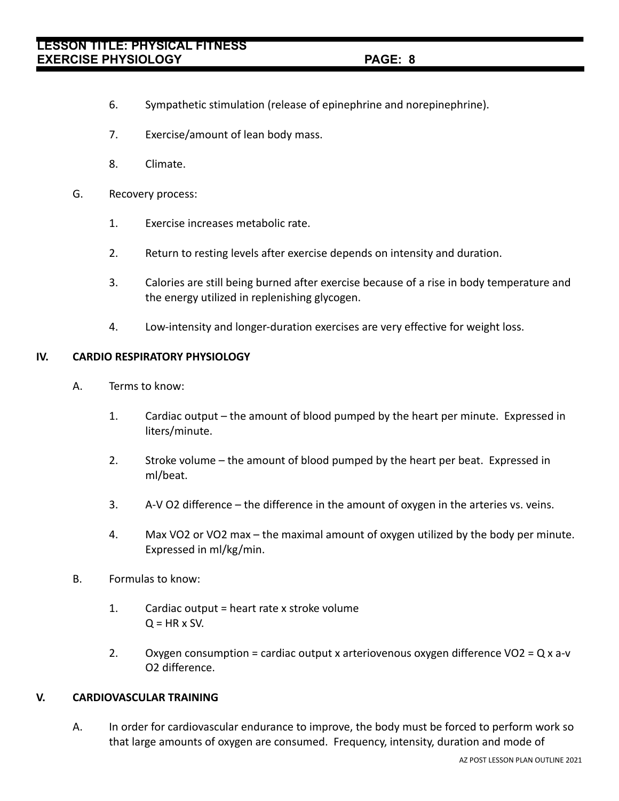- 6. Sympathetic stimulation (release of epinephrine and norepinephrine).
- 7. Exercise/amount of lean body mass.
- 8. Climate.
- G. Recovery process:
	- 1. Exercise increases metabolic rate.
	- 2. Return to resting levels after exercise depends on intensity and duration.
	- 3. Calories are still being burned after exercise because of a rise in body temperature and the energy utilized in replenishing glycogen.
	- 4. Low-intensity and longer-duration exercises are very effective for weight loss.

### **IV. CARDIO RESPIRATORY PHYSIOLOGY**

- A. Terms to know:
	- 1. Cardiac output the amount of blood pumped by the heart per minute. Expressed in liters/minute.
	- 2. Stroke volume the amount of blood pumped by the heart per beat. Expressed in ml/beat.
	- 3. A-V O2 difference the difference in the amount of oxygen in the arteries vs. veins.
	- 4. Max VO2 or VO2 max the maximal amount of oxygen utilized by the body per minute. Expressed in ml/kg/min.
- B. Formulas to know:
	- 1. Cardiac output = heart rate x stroke volume  $Q = HR \times SV.$
	- 2. Oxygen consumption = cardiac output x arteriovenous oxygen difference  $\sqrt{Q}$  = Q x a-v O2 difference.

## **V. CARDIOVASCULAR TRAINING**

A. In order for cardiovascular endurance to improve, the body must be forced to perform work so that large amounts of oxygen are consumed. Frequency, intensity, duration and mode of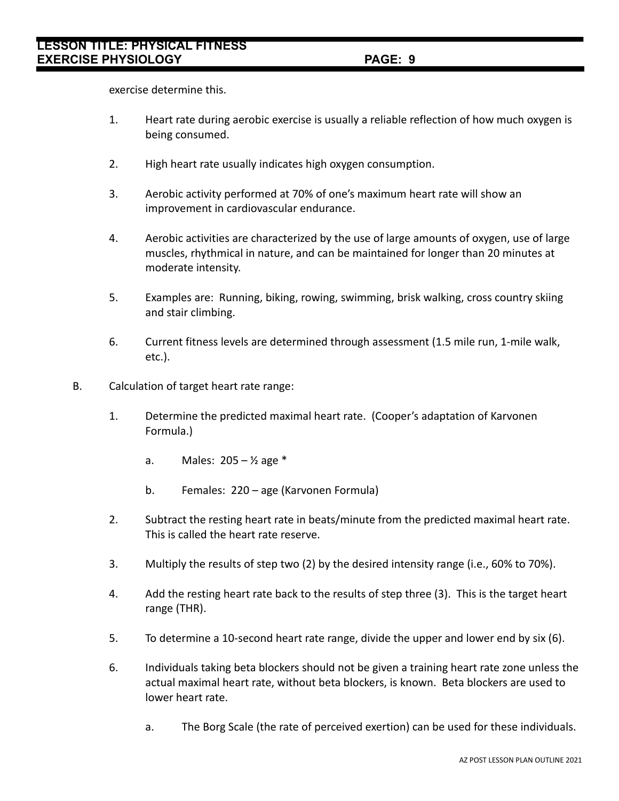exercise determine this.

- 1. Heart rate during aerobic exercise is usually a reliable reflection of how much oxygen is being consumed.
- 2. High heart rate usually indicates high oxygen consumption.
- 3. Aerobic activity performed at 70% of one's maximum heart rate will show an improvement in cardiovascular endurance.
- 4. Aerobic activities are characterized by the use of large amounts of oxygen, use of large muscles, rhythmical in nature, and can be maintained for longer than 20 minutes at moderate intensity.
- 5. Examples are: Running, biking, rowing, swimming, brisk walking, cross country skiing and stair climbing.
- 6. Current fitness levels are determined through assessment (1.5 mile run, 1-mile walk, etc.).
- B. Calculation of target heart rate range:
	- 1. Determine the predicted maximal heart rate. (Cooper's adaptation of Karvonen Formula.)
		- a. Males:  $205 \frac{1}{2}$  age \*
		- b. Females: 220 age (Karvonen Formula)
	- 2. Subtract the resting heart rate in beats/minute from the predicted maximal heart rate. This is called the heart rate reserve.
	- 3. Multiply the results of step two (2) by the desired intensity range (i.e., 60% to 70%).
	- 4. Add the resting heart rate back to the results of step three (3). This is the target heart range (THR).
	- 5. To determine a 10-second heart rate range, divide the upper and lower end by six (6).
	- 6. Individuals taking beta blockers should not be given a training heart rate zone unless the actual maximal heart rate, without beta blockers, is known. Beta blockers are used to lower heart rate.
		- a. The Borg Scale (the rate of perceived exertion) can be used for these individuals.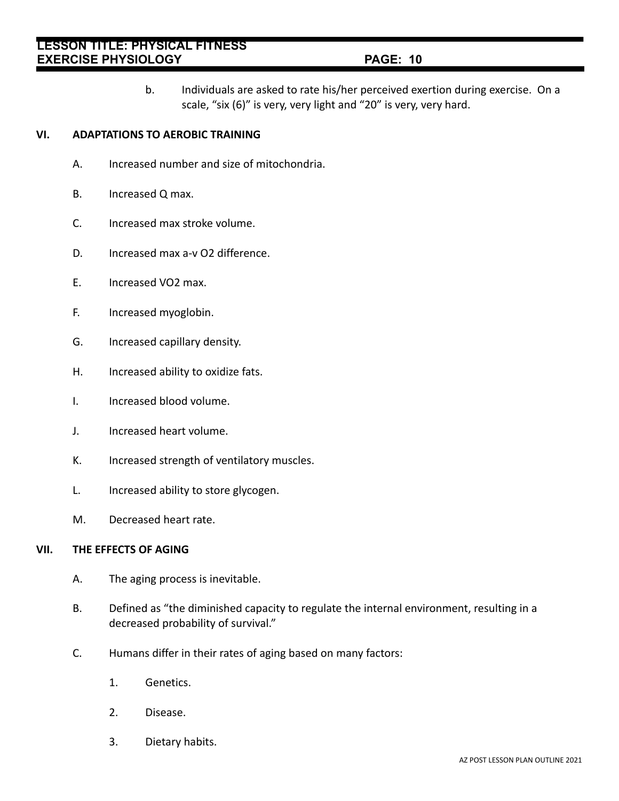b. Individuals are asked to rate his/her perceived exertion during exercise. On a scale, "six (6)" is very, very light and "20" is very, very hard.

## **VI. ADAPTATIONS TO AEROBIC TRAINING**

- A. Increased number and size of mitochondria.
- B. Increased Q max.
- C. Increased max stroke volume.
- D. Increased max a-v O2 difference.
- E. Increased VO2 max.
- F. Increased myoglobin.
- G. Increased capillary density.
- H. Increased ability to oxidize fats.
- I. Increased blood volume.
- J. Increased heart volume.
- K. Increased strength of ventilatory muscles.
- L. Increased ability to store glycogen.
- M. Decreased heart rate.

#### **VII. THE EFFECTS OF AGING**

- A. The aging process is inevitable.
- B. Defined as "the diminished capacity to regulate the internal environment, resulting in a decreased probability of survival."
- C. Humans differ in their rates of aging based on many factors:
	- 1. Genetics.
	- 2. Disease.
	- 3. Dietary habits.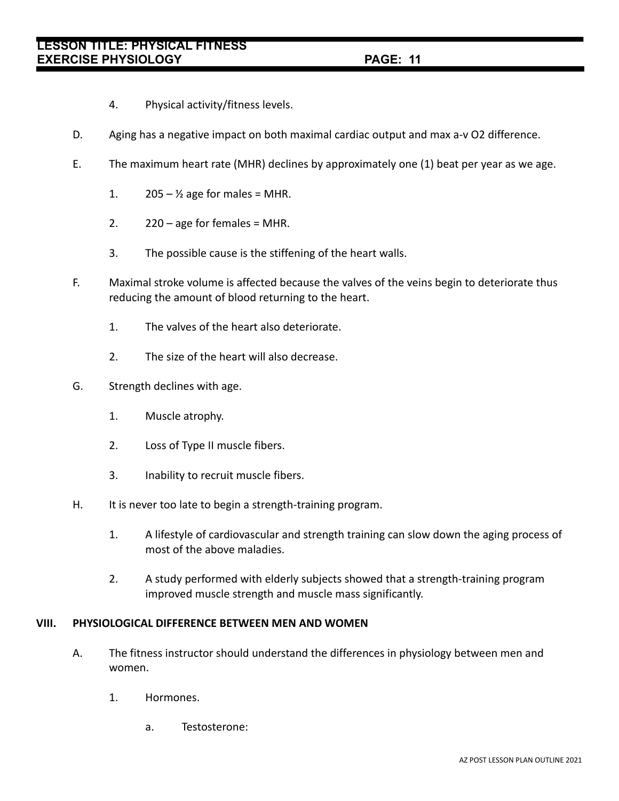- 4. Physical activity/fitness levels.
- D. Aging has a negative impact on both maximal cardiac output and max a-v O2 difference.
- E. The maximum heart rate (MHR) declines by approximately one (1) beat per year as we age.
	- 1.  $205 \frac{1}{2}$  age for males = MHR.
	- 2.  $220 age$  for females = MHR.
	- 3. The possible cause is the stiffening of the heart walls.
- F. Maximal stroke volume is affected because the valves of the veins begin to deteriorate thus reducing the amount of blood returning to the heart.
	- 1. The valves of the heart also deteriorate.
	- 2. The size of the heart will also decrease.
- G. Strength declines with age.
	- 1. Muscle atrophy.
	- 2. Loss of Type II muscle fibers.
	- 3. Inability to recruit muscle fibers.
- H. It is never too late to begin a strength-training program.
	- 1. A lifestyle of cardiovascular and strength training can slow down the aging process of most of the above maladies.
	- 2. A study performed with elderly subjects showed that a strength-training program improved muscle strength and muscle mass significantly.

### **VIII. PHYSIOLOGICAL DIFFERENCE BETWEEN MEN AND WOMEN**

- A. The fitness instructor should understand the differences in physiology between men and women.
	- 1. Hormones.
		- a. Testosterone: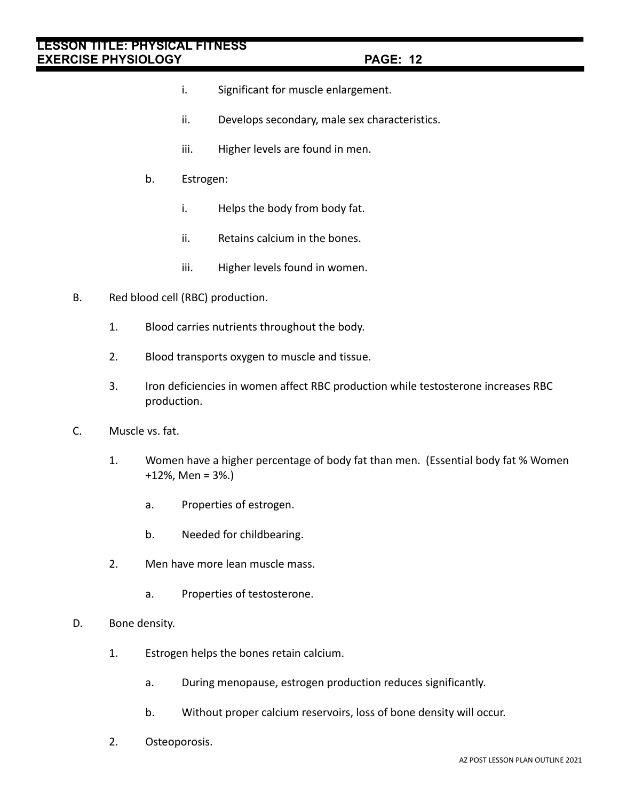- i. Significant for muscle enlargement.
- ii. Develops secondary, male sex characteristics.
- iii. Higher levels are found in men.
- b. Estrogen:
	- i. Helps the body from body fat.
	- ii. Retains calcium in the bones.
	- iii. Higher levels found in women.
- B. Red blood cell (RBC) production.
	- 1. Blood carries nutrients throughout the body.
	- 2. Blood transports oxygen to muscle and tissue.
	- 3. Iron deficiencies in women affect RBC production while testosterone increases RBC production.
- C. Muscle vs. fat.
	- 1. Women have a higher percentage of body fat than men. (Essential body fat % Women +12%, Men = 3%.)
		- a. Properties of estrogen.
		- b. Needed for childbearing.
	- 2. Men have more lean muscle mass.
		- a. Properties of testosterone.
- D. Bone density.
	- 1. Estrogen helps the bones retain calcium.
		- a. During menopause, estrogen production reduces significantly.
		- b. Without proper calcium reservoirs, loss of bone density will occur.
	- 2. Osteoporosis.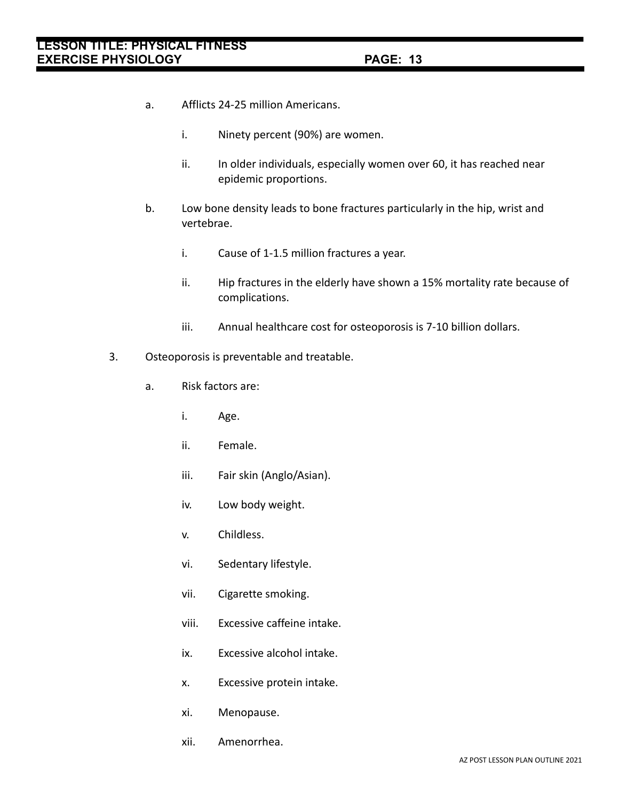- a. Afflicts 24-25 million Americans.
	- i. Ninety percent (90%) are women.
	- ii. In older individuals, especially women over 60, it has reached near epidemic proportions.
- b. Low bone density leads to bone fractures particularly in the hip, wrist and vertebrae.
	- i. Cause of 1-1.5 million fractures a year.
	- ii. Hip fractures in the elderly have shown a 15% mortality rate because of complications.
	- iii. Annual healthcare cost for osteoporosis is 7-10 billion dollars.
- 3. Osteoporosis is preventable and treatable.
	- a. Risk factors are:
		- i. Age.
		- ii. Female.
		- iii. Fair skin (Anglo/Asian).
		- iv. Low body weight.
		- v. Childless.
		- vi. Sedentary lifestyle.
		- vii. Cigarette smoking.
		- viii. Excessive caffeine intake.
		- ix. Excessive alcohol intake.
		- x. Excessive protein intake.
		- xi. Menopause.
		- xii. Amenorrhea.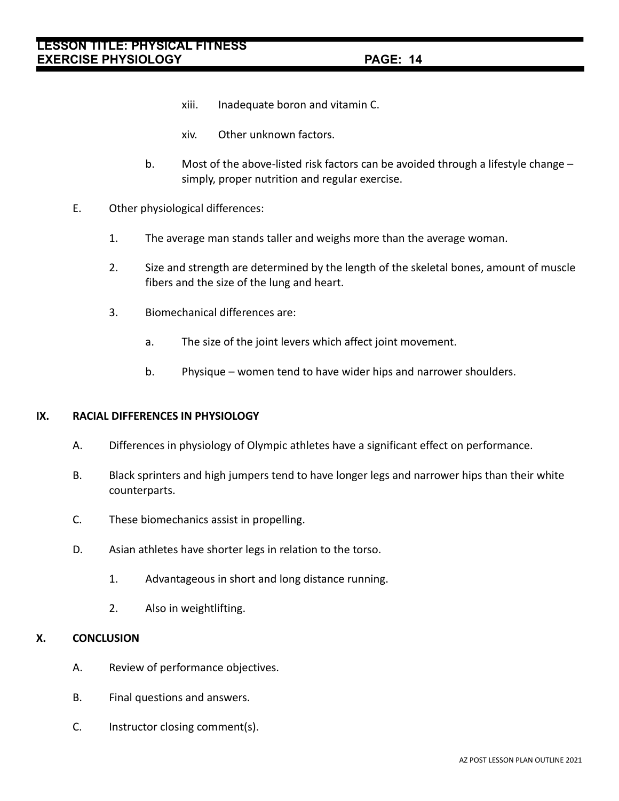- xiii. Inadequate boron and vitamin C.
- xiv. Other unknown factors.
- b. Most of the above-listed risk factors can be avoided through a lifestyle change simply, proper nutrition and regular exercise.
- E. Other physiological differences:
	- 1. The average man stands taller and weighs more than the average woman.
	- 2. Size and strength are determined by the length of the skeletal bones, amount of muscle fibers and the size of the lung and heart.
	- 3. Biomechanical differences are:
		- a. The size of the joint levers which affect joint movement.
		- b. Physique women tend to have wider hips and narrower shoulders.

#### **IX. RACIAL DIFFERENCES IN PHYSIOLOGY**

- A. Differences in physiology of Olympic athletes have a significant effect on performance.
- B. Black sprinters and high jumpers tend to have longer legs and narrower hips than their white counterparts.
- C. These biomechanics assist in propelling.
- D. Asian athletes have shorter legs in relation to the torso.
	- 1. Advantageous in short and long distance running.
	- 2. Also in weightlifting.

#### **X. CONCLUSION**

- A. Review of performance objectives.
- B. Final questions and answers.
- C. Instructor closing comment(s).